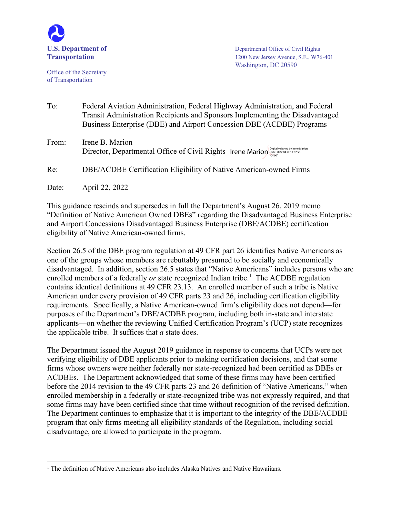

Office of the Secretary of Transportation

**U.S. Department of** Department of Departmental Office of Civil Rights **Transportation** 1200 New Jersey Avenue, S.E., W76-401 Washington, DC 20590

| To:   | Federal Aviation Administration, Federal Highway Administration, and Federal<br>Transit Administration Recipients and Sponsors Implementing the Disadvantaged<br>Business Enterprise (DBE) and Airport Concession DBE (ACDBE) Programs |
|-------|----------------------------------------------------------------------------------------------------------------------------------------------------------------------------------------------------------------------------------------|
| From: | Irene B. Marion<br>Director, Departmental Office of Civil Rights Irene Marion Digitally signed by Irene Marion                                                                                                                         |
| Re:   | DBE/ACDBE Certification Eligibility of Native American-owned Firms                                                                                                                                                                     |
| Date: | April 22, 2022                                                                                                                                                                                                                         |

This guidance rescinds and supersedes in full the Department's August 26, 2019 memo "Definition of Native American Owned DBEs" regarding the Disadvantaged Business Enterprise and Airport Concessions Disadvantaged Business Enterprise (DBE/ACDBE) certification eligibility of Native American-owned firms.

Section 26.5 of the DBE program regulation at 49 CFR part 26 identifies Native Americans as one of the groups whose members are rebuttably presumed to be socially and economically disadvantaged. In addition, section 26.5 states that "Native Americans" includes persons who are enrolled members of a federally *or* state recognized Indian tribe.<sup>1</sup> The ACDBE regulation contains identical definitions at 49 CFR 23.13. An enrolled member of such a tribe is Native American under every provision of 49 CFR parts 23 and 26, including certification eligibility requirements. Specifically, a Native American-owned firm's eligibility does not depend—for purposes of the Department's DBE/ACDBE program, including both in-state and interstate applicants—on whether the reviewing Unified Certification Program's (UCP) state recognizes the applicable tribe. It suffices that *a* state does.

The Department issued the August 2019 guidance in response to concerns that UCPs were not verifying eligibility of DBE applicants prior to making certification decisions, and that some firms whose owners were neither federally nor state-recognized had been certified as DBEs or ACDBEs. The Department acknowledged that some of these firms may have been certified before the 2014 revision to the 49 CFR parts 23 and 26 definition of "Native Americans," when enrolled membership in a federally or state-recognized tribe was not expressly required, and that some firms may have been certified since that time without recognition of the revised definition. The Department continues to emphasize that it is important to the integrity of the DBE/ACDBE program that only firms meeting all eligibility standards of the Regulation, including social disadvantage, are allowed to participate in the program.

 $1$  The definition of Native Americans also includes Alaska Natives and Native Hawaiians.